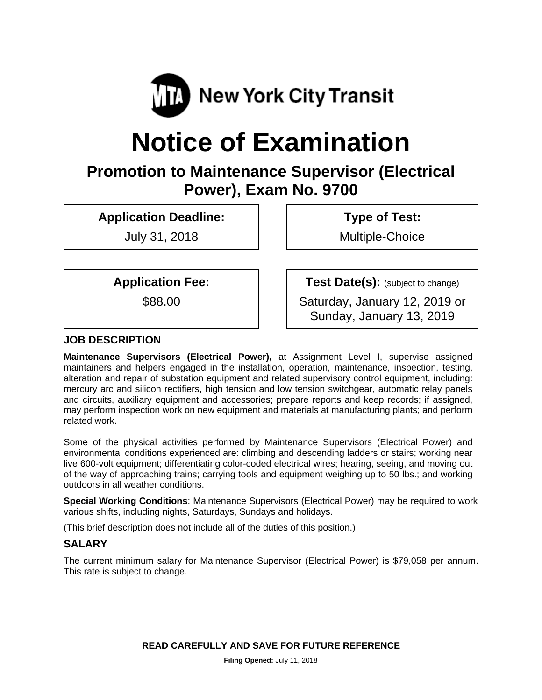

# **Notice of Examination**

# **Promotion to Maintenance Supervisor (Electrical Power), Exam No. 9700**

**Application Deadline:** 

July 31, 2018

 **Type of Test:** 

Multiple-Choice

**Application Fee:** 

\$88.00

**Test Date(s):** (subject to change)

Saturday, January 12, 2019 or Sunday, January 13, 2019

# **JOB DESCRIPTION**

**Maintenance Supervisors (Electrical Power),** at Assignment Level I, supervise assigned maintainers and helpers engaged in the installation, operation, maintenance, inspection, testing, alteration and repair of substation equipment and related supervisory control equipment, including: mercury arc and silicon rectifiers, high tension and low tension switchgear, automatic relay panels and circuits, auxiliary equipment and accessories; prepare reports and keep records; if assigned, may perform inspection work on new equipment and materials at manufacturing plants; and perform related work.

Some of the physical activities performed by Maintenance Supervisors (Electrical Power) and environmental conditions experienced are: climbing and descending ladders or stairs; working near live 600-volt equipment; differentiating color-coded electrical wires; hearing, seeing, and moving out of the way of approaching trains; carrying tools and equipment weighing up to 50 lbs.; and working outdoors in all weather conditions.

**Special Working Conditions**: Maintenance Supervisors (Electrical Power) may be required to work various shifts, including nights, Saturdays, Sundays and holidays.

(This brief description does not include all of the duties of this position.)

# **SALARY**

The current minimum salary for Maintenance Supervisor (Electrical Power) is \$79,058 per annum. This rate is subject to change.

**READ CAREFULLY AND SAVE FOR FUTURE REFERENCE**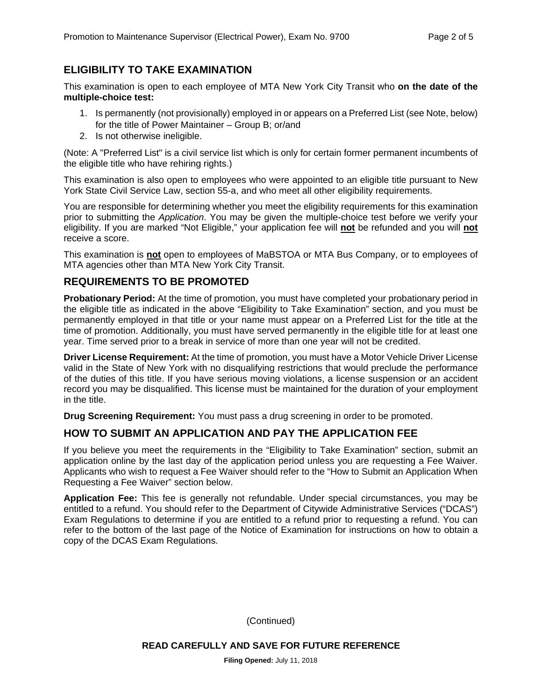#### **ELIGIBILITY TO TAKE EXAMINATION**

This examination is open to each employee of MTA New York City Transit who **on the date of the multiple-choice test:** 

- 1. Is permanently (not provisionally) employed in or appears on a Preferred List (see Note, below) for the title of Power Maintainer – Group B; or/and
- 2. Is not otherwise ineligible.

(Note: A "Preferred List" is a civil service list which is only for certain former permanent incumbents of the eligible title who have rehiring rights.)

This examination is also open to employees who were appointed to an eligible title pursuant to New York State Civil Service Law, section 55-a, and who meet all other eligibility requirements.

You are responsible for determining whether you meet the eligibility requirements for this examination prior to submitting the *Application*. You may be given the multiple-choice test before we verify your eligibility. If you are marked "Not Eligible," your application fee will **not** be refunded and you will **not** receive a score.

This examination is **not** open to employees of MaBSTOA or MTA Bus Company, or to employees of MTA agencies other than MTA New York City Transit.

#### **REQUIREMENTS TO BE PROMOTED**

**Probationary Period:** At the time of promotion, you must have completed your probationary period in the eligible title as indicated in the above "Eligibility to Take Examination" section, and you must be permanently employed in that title or your name must appear on a Preferred List for the title at the time of promotion. Additionally, you must have served permanently in the eligible title for at least one year. Time served prior to a break in service of more than one year will not be credited.

**Driver License Requirement:** At the time of promotion, you must have a Motor Vehicle Driver License valid in the State of New York with no disqualifying restrictions that would preclude the performance of the duties of this title. If you have serious moving violations, a license suspension or an accident record you may be disqualified. This license must be maintained for the duration of your employment in the title.

**Drug Screening Requirement:** You must pass a drug screening in order to be promoted.

#### **HOW TO SUBMIT AN APPLICATION AND PAY THE APPLICATION FEE**

If you believe you meet the requirements in the "Eligibility to Take Examination" section, submit an application online by the last day of the application period unless you are requesting a Fee Waiver. Applicants who wish to request a Fee Waiver should refer to the "How to Submit an Application When Requesting a Fee Waiver" section below.

**Application Fee:** This fee is generally not refundable. Under special circumstances, you may be entitled to a refund. You should refer to the Department of Citywide Administrative Services ("DCAS") Exam Regulations to determine if you are entitled to a refund prior to requesting a refund. You can refer to the bottom of the last page of the Notice of Examination for instructions on how to obtain a copy of the DCAS Exam Regulations.

(Continued)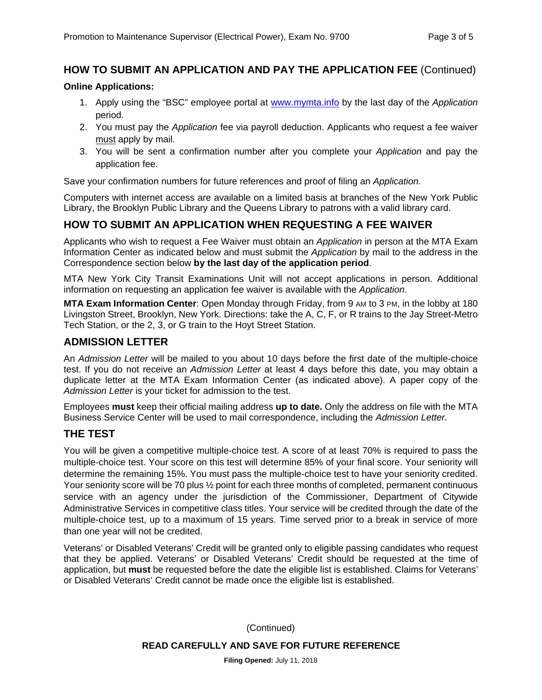#### **HOW TO SUBMIT AN APPLICATION AND PAY THE APPLICATION FEE** (Continued)

#### **Online Applications:**

- 1. Apply using the "BSC" employee portal at www.mymta.info by the last day of the *Application*  period.
- 2. You must pay the *Application* fee via payroll deduction. Applicants who request a fee waiver must apply by mail.
- 3. You will be sent a confirmation number after you complete your *Application* and pay the application fee.

Save your confirmation numbers for future references and proof of filing an *Application.*

Computers with internet access are available on a limited basis at branches of the New York Public Library, the Brooklyn Public Library and the Queens Library to patrons with a valid library card.

#### **HOW TO SUBMIT AN APPLICATION WHEN REQUESTING A FEE WAIVER**

Applicants who wish to request a Fee Waiver must obtain an *Application* in person at the MTA Exam Information Center as indicated below and must submit the *Application* by mail to the address in the Correspondence section below **by the last day of the application period**.

MTA New York City Transit Examinations Unit will not accept applications in person. Additional information on requesting an application fee waiver is available with the *Application*.

**MTA Exam Information Center**: Open Monday through Friday, from 9 AM to 3 PM, in the lobby at 180 Livingston Street, Brooklyn, New York. Directions: take the A, C, F, or R trains to the Jay Street-Metro Tech Station, or the 2, 3, or G train to the Hoyt Street Station.

#### **ADMISSION LETTER**

An *Admission Letter* will be mailed to you about 10 days before the first date of the multiple-choice test. If you do not receive an *Admission Letter* at least 4 days before this date, you may obtain a duplicate letter at the MTA Exam Information Center (as indicated above). A paper copy of the *Admission Letter* is your ticket for admission to the test.

Employees **must** keep their official mailing address **up to date.** Only the address on file with the MTA Business Service Center will be used to mail correspondence, including the *Admission Letter.*

#### **THE TEST**

You will be given a competitive multiple-choice test. A score of at least 70% is required to pass the multiple-choice test. Your score on this test will determine 85% of your final score. Your seniority will determine the remaining 15%. You must pass the multiple-choice test to have your seniority credited. Your seniority score will be 70 plus  $\frac{1}{2}$  point for each three months of completed, permanent continuous service with an agency under the jurisdiction of the Commissioner, Department of Citywide Administrative Services in competitive class titles. Your service will be credited through the date of the multiple-choice test, up to a maximum of 15 years. Time served prior to a break in service of more than one year will not be credited.

Veterans' or Disabled Veterans' Credit will be granted only to eligible passing candidates who request that they be applied. Veterans' or Disabled Veterans' Credit should be requested at the time of application, but **must** be requested before the date the eligible list is established. Claims for Veterans' or Disabled Veterans' Credit cannot be made once the eligible list is established.

(Continued)

#### **READ CAREFULLY AND SAVE FOR FUTURE REFERENCE**

**Filing Opened:** July 11, 2018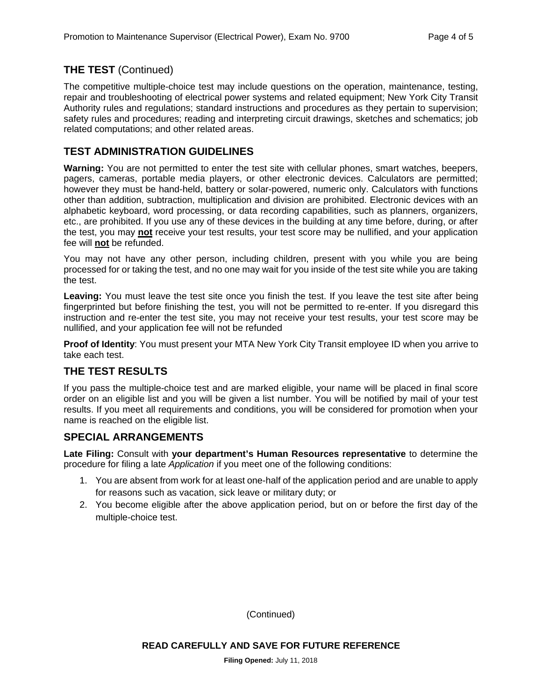#### **THE TEST** (Continued)

The competitive multiple-choice test may include questions on the operation, maintenance, testing, repair and troubleshooting of electrical power systems and related equipment; New York City Transit Authority rules and regulations; standard instructions and procedures as they pertain to supervision; safety rules and procedures; reading and interpreting circuit drawings, sketches and schematics; job related computations; and other related areas.

#### **TEST ADMINISTRATION GUIDELINES**

**Warning:** You are not permitted to enter the test site with cellular phones, smart watches, beepers, pagers, cameras, portable media players, or other electronic devices. Calculators are permitted; however they must be hand-held, battery or solar-powered, numeric only. Calculators with functions other than addition, subtraction, multiplication and division are prohibited. Electronic devices with an alphabetic keyboard, word processing, or data recording capabilities, such as planners, organizers, etc., are prohibited. If you use any of these devices in the building at any time before, during, or after the test, you may **not** receive your test results, your test score may be nullified, and your application fee will **not** be refunded.

You may not have any other person, including children, present with you while you are being processed for or taking the test, and no one may wait for you inside of the test site while you are taking the test.

**Leaving:** You must leave the test site once you finish the test. If you leave the test site after being fingerprinted but before finishing the test, you will not be permitted to re-enter. If you disregard this instruction and re-enter the test site, you may not receive your test results, your test score may be nullified, and your application fee will not be refunded

**Proof of Identity**: You must present your MTA New York City Transit employee ID when you arrive to take each test.

#### **THE TEST RESULTS**

If you pass the multiple-choice test and are marked eligible, your name will be placed in final score order on an eligible list and you will be given a list number. You will be notified by mail of your test results. If you meet all requirements and conditions, you will be considered for promotion when your name is reached on the eligible list.

#### **SPECIAL ARRANGEMENTS**

**Late Filing:** Consult with **your department's Human Resources representative** to determine the procedure for filing a late *Application* if you meet one of the following conditions:

- 1. You are absent from work for at least one-half of the application period and are unable to apply for reasons such as vacation, sick leave or military duty; or
- 2. You become eligible after the above application period, but on or before the first day of the multiple-choice test.

(Continued)